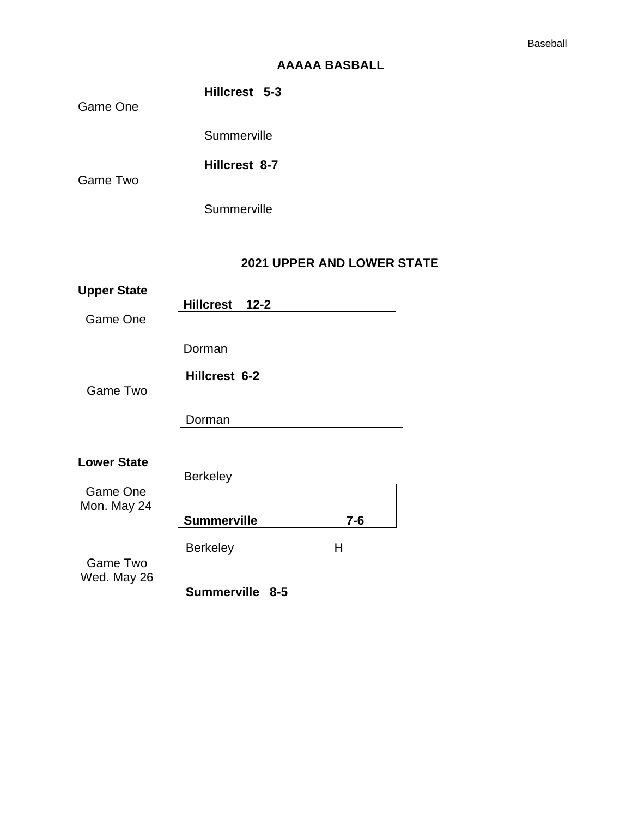# **AAAAA BASBALL**

|          | Hillcrest 5-3 |  |
|----------|---------------|--|
| Game One |               |  |
|          | Summerville   |  |
|          | Hillcrest 8-7 |  |

Game Two

**Summerville** 

# **2021 UPPER AND LOWER STATE**

| <b>Upper State</b> |                    |       |
|--------------------|--------------------|-------|
|                    | Hillcrest 12-2     |       |
| Game One           |                    |       |
|                    |                    |       |
|                    | Dorman             |       |
|                    | Hillcrest 6-2      |       |
| Game Two           |                    |       |
|                    |                    |       |
|                    | Dorman             |       |
|                    |                    |       |
|                    |                    |       |
| <b>Lower State</b> | <b>Berkeley</b>    |       |
| Game One           |                    |       |
| Mon. May 24        |                    |       |
|                    | <b>Summerville</b> | $7-6$ |
|                    |                    |       |
|                    | <b>Berkeley</b>    | Н     |
| Game Two           |                    |       |
| Wed. May 26        |                    |       |
|                    | Summerville 8-5    |       |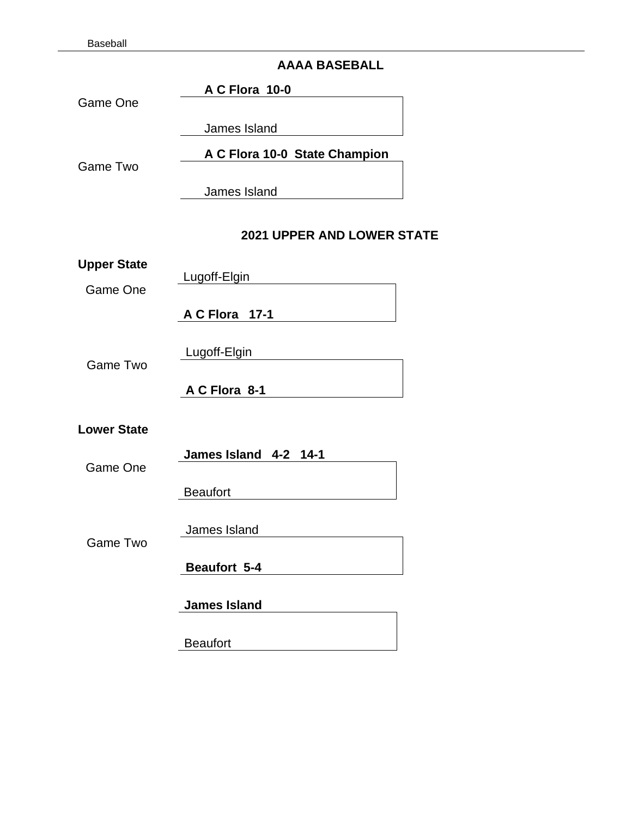# **AAAA BASEBALL**

|                    | AAAA BASEBALL                 |
|--------------------|-------------------------------|
| <b>Game One</b>    | A C Flora 10-0                |
|                    |                               |
|                    | James Island                  |
| Game Two           | A C Flora 10-0 State Champion |
|                    | James Island                  |
|                    |                               |
|                    | 2021 UPPER AND LOWER STATE    |
| <b>Upper State</b> |                               |
| Game One           | Lugoff-Elgin                  |
|                    | A C Flora 17-1                |
|                    |                               |
| Game Two           | Lugoff-Elgin                  |
|                    | A C Flora 8-1                 |
|                    |                               |
| <b>Lower State</b> |                               |
| Game One           | James Island 4-2 14-1         |
|                    | <b>Beaufort</b>               |
|                    |                               |
|                    | James Island                  |
| <b>Game Two</b>    |                               |
|                    | Beaufort 5-4                  |
|                    | <b>James Island</b>           |
|                    |                               |
|                    | <b>Beaufort</b>               |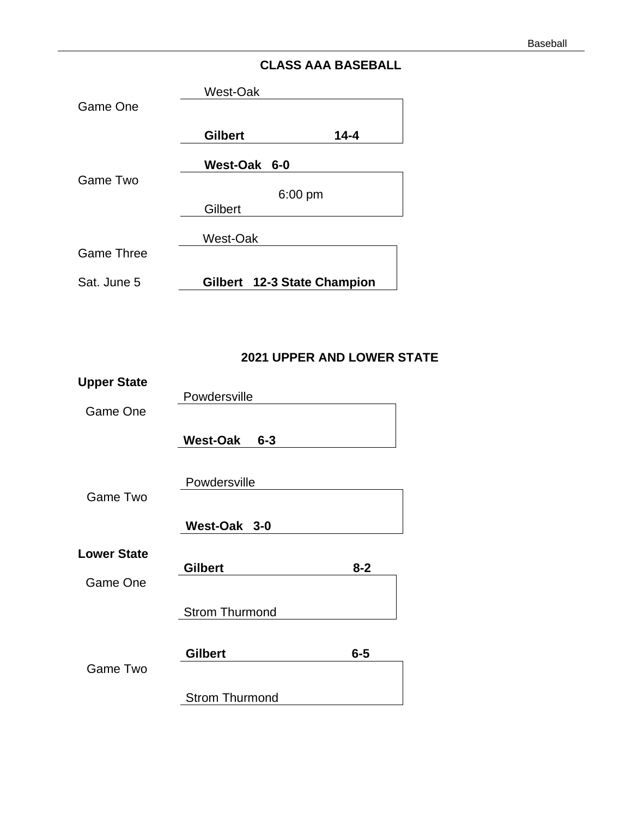# **CLASS AAA BASEBALL**

|                   | West-Oak                    |          |
|-------------------|-----------------------------|----------|
| Game One          |                             |          |
|                   |                             |          |
|                   | <b>Gilbert</b>              | $14 - 4$ |
|                   | West-Oak 6-0                |          |
| Game Two          |                             |          |
|                   | $6:00 \text{ pm}$           |          |
|                   | Gilbert                     |          |
|                   |                             |          |
|                   | West-Oak                    |          |
| <b>Game Three</b> |                             |          |
| Sat. June 5       | Gilbert 12-3 State Champion |          |
|                   |                             |          |

# **2021 UPPER AND LOWER STATE**

| <b>Upper State</b> |                            |         |
|--------------------|----------------------------|---------|
|                    | Powdersville               |         |
| Game One           |                            |         |
|                    | <b>West-Oak</b><br>$6 - 3$ |         |
|                    |                            |         |
|                    |                            |         |
|                    | Powdersville               |         |
| Game Two           |                            |         |
|                    | West-Oak 3-0               |         |
|                    |                            |         |
| <b>Lower State</b> |                            |         |
|                    | <b>Gilbert</b>             | $8 - 2$ |
| Game One           |                            |         |
|                    | <b>Strom Thurmond</b>      |         |
|                    |                            |         |
|                    |                            |         |
|                    | <b>Gilbert</b>             | $6-5$   |
| Game Two           |                            |         |
|                    | <b>Strom Thurmond</b>      |         |
|                    |                            |         |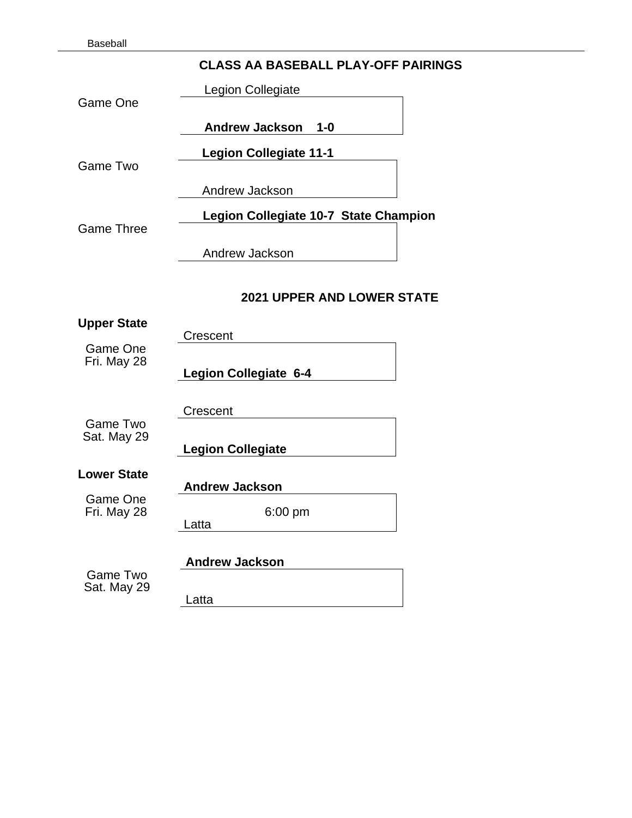## **CLASS AA BASEBALL PLAY-OFF PAIRINGS**

Legion Collegiate

Game One

**Andrew Jackson 1-0** 

**Legion Collegiate 11-1** 

Game Two

Andrew Jackson

**Legion Collegiate 10-7 State Champion**

Game Three

Andrew Jackson

#### **2021 UPPER AND LOWER STATE**

**Upper State** Crescent Game One Fri. May 28

**Legion Collegiate 6-4** 

Game Two Sat. May 29 Crescent

 **Legion Collegiate** 

**Lower State**

Game One Fri. May 28 6:00 pm

**Andrew Jackson** 

Latta in the contract of the contract of the contract of the contract of the contract of the contract of the contract of the contract of the contract of the contract of the contract of the contract of the contract of the c

Game Two Sat. May 29 **Andrew Jackson** Latta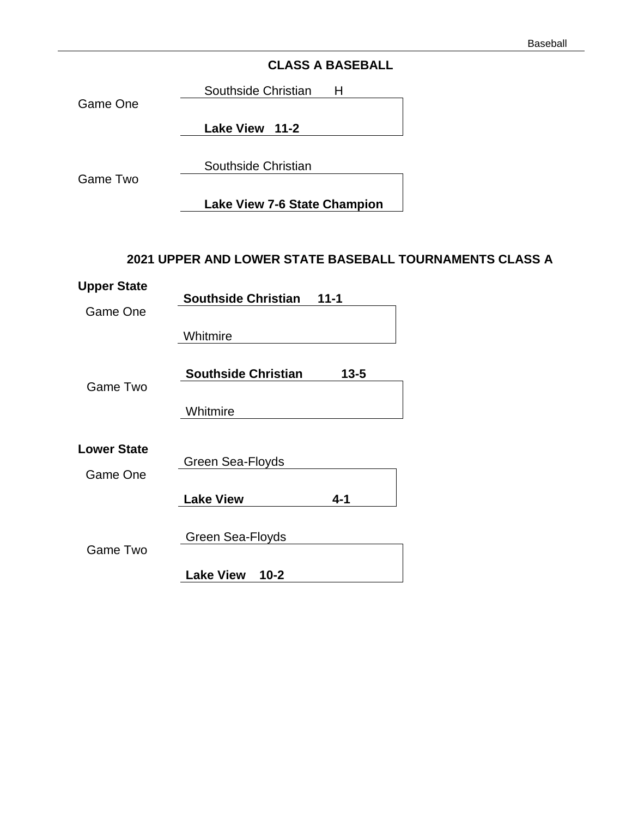# **CLASS A BASEBALL**

Southside Christian H

Game One

**Lake View 11-2**

Southside Christian

Game Two

**Lake View 7-6 State Champion**

## **2021 UPPER AND LOWER STATE BASEBALL TOURNAMENTS CLASS A**

| <b>Upper State</b> |                              |          |
|--------------------|------------------------------|----------|
| Game One           | <b>Southside Christian</b>   | $11 - 1$ |
|                    | Whitmire                     |          |
|                    | <b>Southside Christian</b>   | $13 - 5$ |
| Game Two           |                              |          |
|                    | Whitmire                     |          |
| <b>Lower State</b> |                              |          |
| Game One           | Green Sea-Floyds             |          |
|                    | <b>Lake View</b>             | $4 - 1$  |
|                    | Green Sea-Floyds             |          |
| Game Two           |                              |          |
|                    | <b>Lake View</b><br>$10 - 2$ |          |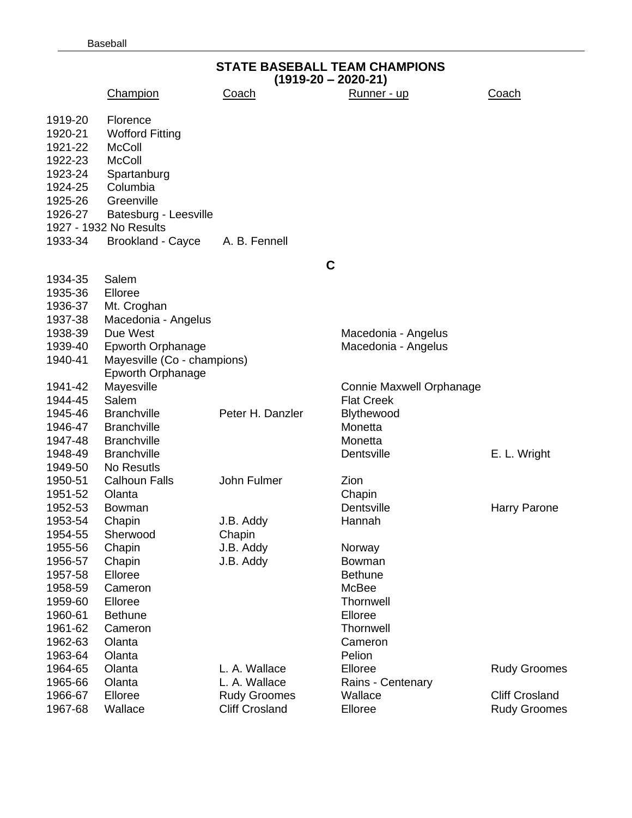|         | <b>STATE BASEBALL TEAM CHAMPIONS</b><br>$(1919-20 - 2020-21)$ |                       |                          |                       |  |  |
|---------|---------------------------------------------------------------|-----------------------|--------------------------|-----------------------|--|--|
|         | Champion                                                      | <u>Coach</u>          | Runner - up              | <u>Coach</u>          |  |  |
| 1919-20 | Florence                                                      |                       |                          |                       |  |  |
| 1920-21 | <b>Wofford Fitting</b>                                        |                       |                          |                       |  |  |
| 1921-22 | <b>McColl</b>                                                 |                       |                          |                       |  |  |
| 1922-23 | <b>McColl</b>                                                 |                       |                          |                       |  |  |
| 1923-24 | Spartanburg                                                   |                       |                          |                       |  |  |
| 1924-25 | Columbia                                                      |                       |                          |                       |  |  |
| 1925-26 | Greenville                                                    |                       |                          |                       |  |  |
| 1926-27 | Batesburg - Leesville                                         |                       |                          |                       |  |  |
|         | 1927 - 1932 No Results                                        |                       |                          |                       |  |  |
| 1933-34 | <b>Brookland - Cayce</b>                                      | A. B. Fennell         |                          |                       |  |  |
|         |                                                               | C                     |                          |                       |  |  |
| 1934-35 | Salem                                                         |                       |                          |                       |  |  |
| 1935-36 | Elloree                                                       |                       |                          |                       |  |  |
| 1936-37 | Mt. Croghan                                                   |                       |                          |                       |  |  |
| 1937-38 | Macedonia - Angelus                                           |                       |                          |                       |  |  |
| 1938-39 | Due West                                                      |                       | Macedonia - Angelus      |                       |  |  |
| 1939-40 | <b>Epworth Orphanage</b>                                      |                       | Macedonia - Angelus      |                       |  |  |
| 1940-41 | Mayesville (Co - champions)                                   |                       |                          |                       |  |  |
|         | <b>Epworth Orphanage</b>                                      |                       |                          |                       |  |  |
| 1941-42 | Mayesville                                                    |                       | Connie Maxwell Orphanage |                       |  |  |
| 1944-45 | Salem                                                         |                       | <b>Flat Creek</b>        |                       |  |  |
| 1945-46 | <b>Branchville</b>                                            | Peter H. Danzler      | Blythewood               |                       |  |  |
| 1946-47 | <b>Branchville</b>                                            |                       | Monetta                  |                       |  |  |
| 1947-48 | <b>Branchville</b>                                            |                       | Monetta                  |                       |  |  |
| 1948-49 | <b>Branchville</b>                                            |                       | Dentsville               | E. L. Wright          |  |  |
| 1949-50 | No Resutls                                                    |                       |                          |                       |  |  |
| 1950-51 | <b>Calhoun Falls</b>                                          | John Fulmer           | Zion                     |                       |  |  |
| 1951-52 | Olanta                                                        |                       | Chapin                   |                       |  |  |
| 1952-53 | Bowman                                                        |                       | Dentsville               | Harry Parone          |  |  |
| 1953-54 | Chapin                                                        | J.B. Addy             | Hannah                   |                       |  |  |
| 1954-55 | Sherwood                                                      | Chapin                |                          |                       |  |  |
| 1955-56 | Chapin                                                        | J.B. Addy             | Norway                   |                       |  |  |
| 1956-57 | Chapin                                                        | J.B. Addy             | Bowman                   |                       |  |  |
| 1957-58 | Elloree                                                       |                       | <b>Bethune</b>           |                       |  |  |
| 1958-59 | Cameron                                                       |                       | McBee                    |                       |  |  |
| 1959-60 | Elloree                                                       |                       | Thornwell                |                       |  |  |
| 1960-61 | <b>Bethune</b>                                                |                       | Elloree                  |                       |  |  |
| 1961-62 | Cameron                                                       |                       | <b>Thornwell</b>         |                       |  |  |
| 1962-63 | Olanta                                                        |                       | Cameron                  |                       |  |  |
| 1963-64 | Olanta                                                        |                       | Pelion                   |                       |  |  |
| 1964-65 | Olanta                                                        | L. A. Wallace         | Elloree                  | <b>Rudy Groomes</b>   |  |  |
| 1965-66 | Olanta                                                        | L. A. Wallace         | Rains - Centenary        |                       |  |  |
| 1966-67 | Elloree                                                       | <b>Rudy Groomes</b>   | Wallace                  | <b>Cliff Crosland</b> |  |  |
| 1967-68 | Wallace                                                       | <b>Cliff Crosland</b> | Elloree                  | <b>Rudy Groomes</b>   |  |  |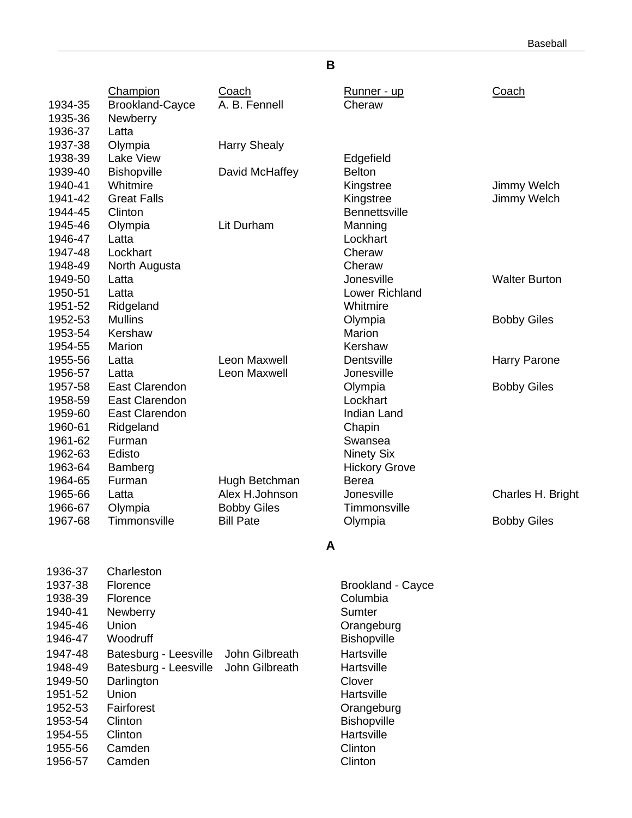Baseball

# **B**

|         | Champion                       | Coach               | Runner - up                | Coach                |
|---------|--------------------------------|---------------------|----------------------------|----------------------|
| 1934-35 | <b>Brookland-Cayce</b>         | A. B. Fennell       | Cheraw                     |                      |
| 1935-36 | Newberry                       |                     |                            |                      |
| 1936-37 | Latta                          |                     |                            |                      |
| 1937-38 | Olympia                        | <b>Harry Shealy</b> |                            |                      |
| 1938-39 | Lake View                      |                     |                            |                      |
| 1939-40 |                                |                     | Edgefield<br><b>Belton</b> |                      |
| 1940-41 | <b>Bishopville</b><br>Whitmire | David McHaffey      |                            |                      |
|         | <b>Great Falls</b>             |                     | Kingstree                  | Jimmy Welch          |
| 1941-42 |                                |                     | Kingstree                  | Jimmy Welch          |
| 1944-45 | Clinton                        |                     | <b>Bennettsville</b>       |                      |
| 1945-46 | Olympia                        | Lit Durham          | Manning                    |                      |
| 1946-47 | Latta                          |                     | Lockhart                   |                      |
| 1947-48 | Lockhart                       |                     | Cheraw                     |                      |
| 1948-49 | North Augusta                  |                     | Cheraw                     |                      |
| 1949-50 | Latta                          |                     | Jonesville                 | <b>Walter Burton</b> |
| 1950-51 | Latta                          |                     | Lower Richland             |                      |
| 1951-52 | Ridgeland                      |                     | Whitmire                   |                      |
| 1952-53 | <b>Mullins</b>                 |                     | Olympia                    | <b>Bobby Giles</b>   |
| 1953-54 | Kershaw                        |                     | Marion                     |                      |
| 1954-55 | Marion                         |                     | Kershaw                    |                      |
| 1955-56 | Latta                          | <b>Leon Maxwell</b> | Dentsville                 | <b>Harry Parone</b>  |
| 1956-57 | Latta                          | Leon Maxwell        | Jonesville                 |                      |
| 1957-58 | <b>East Clarendon</b>          |                     | Olympia                    | <b>Bobby Giles</b>   |
| 1958-59 | <b>East Clarendon</b>          |                     | Lockhart                   |                      |
| 1959-60 | <b>East Clarendon</b>          |                     | <b>Indian Land</b>         |                      |
| 1960-61 | Ridgeland                      |                     | Chapin                     |                      |
| 1961-62 | Furman                         |                     | Swansea                    |                      |
| 1962-63 | Edisto                         |                     | <b>Ninety Six</b>          |                      |
| 1963-64 | Bamberg                        |                     | <b>Hickory Grove</b>       |                      |
| 1964-65 | Furman                         | Hugh Betchman       | <b>Berea</b>               |                      |
| 1965-66 | Latta                          | Alex H.Johnson      | Jonesville                 | Charles H. Bright    |
| 1966-67 | Olympia                        | <b>Bobby Giles</b>  | Timmonsville               |                      |
| 1967-68 | Timmonsville                   | <b>Bill Pate</b>    | Olympia                    | <b>Bobby Giles</b>   |
|         |                                |                     |                            |                      |
|         |                                | A                   |                            |                      |
| 1936-37 | Charleston                     |                     |                            |                      |
| 1937-38 | Florence                       |                     | <b>Brookland - Cayce</b>   |                      |
| 1938-39 | Florence                       |                     | Columbia                   |                      |
| 1940-41 | Newberry                       |                     | Sumter                     |                      |
| 1945-46 | Union                          |                     | Orangeburg                 |                      |
| 1946-47 | Woodruff                       |                     | <b>Bishopville</b>         |                      |
| 1947-48 | Batesburg - Leesville          | John Gilbreath      | Hartsville                 |                      |
| 1948-49 | Batesburg - Leesville          | John Gilbreath      | Hartsville                 |                      |
| 1949-50 | Darlington                     |                     | Clover                     |                      |
| 1951-52 | Union                          |                     | Hartsville                 |                      |
| 1952-53 | Fairforest                     |                     | Orangeburg                 |                      |
| 1953-54 | Clinton                        |                     | <b>Bishopville</b>         |                      |
| 1954-55 | Clinton                        |                     | Hartsville                 |                      |
| 1955-56 | Camden                         |                     | Clinton                    |                      |
|         |                                |                     |                            |                      |

1956-57 Camden Clinton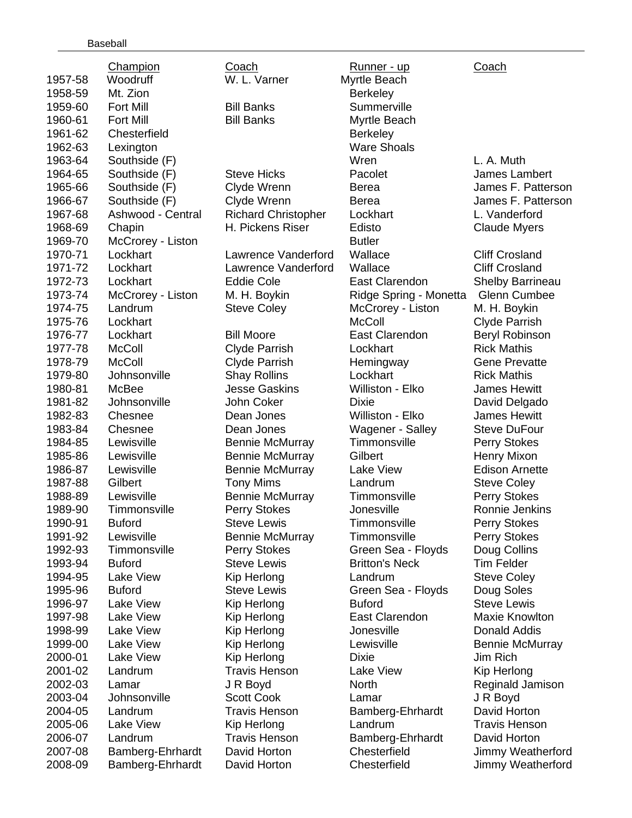|         | <b>Champion</b>   | Coach                      | <u>Runner - up</u>      | <b>Coach</b>            |
|---------|-------------------|----------------------------|-------------------------|-------------------------|
| 1957-58 | Woodruff          | W. L. Varner               | Myrtle Beach            |                         |
| 1958-59 | Mt. Zion          |                            | <b>Berkeley</b>         |                         |
| 1959-60 | Fort Mill         | <b>Bill Banks</b>          | Summerville             |                         |
| 1960-61 | <b>Fort Mill</b>  | <b>Bill Banks</b>          | Myrtle Beach            |                         |
| 1961-62 | Chesterfield      |                            | <b>Berkeley</b>         |                         |
| 1962-63 | Lexington         |                            | <b>Ware Shoals</b>      |                         |
| 1963-64 | Southside (F)     |                            | Wren                    | L. A. Muth              |
| 1964-65 | Southside (F)     | <b>Steve Hicks</b>         | Pacolet                 | James Lambert           |
| 1965-66 | Southside (F)     | Clyde Wrenn                | Berea                   | James F. Patterson      |
| 1966-67 | Southside (F)     | Clyde Wrenn                | <b>Berea</b>            | James F. Patterson      |
| 1967-68 | Ashwood - Central | <b>Richard Christopher</b> | Lockhart                | L. Vanderford           |
| 1968-69 | Chapin            | H. Pickens Riser           | Edisto                  | <b>Claude Myers</b>     |
| 1969-70 | McCrorey - Liston |                            | <b>Butler</b>           |                         |
| 1970-71 | Lockhart          | Lawrence Vanderford        | Wallace                 | <b>Cliff Crosland</b>   |
| 1971-72 | Lockhart          | Lawrence Vanderford        | Wallace                 | <b>Cliff Crosland</b>   |
| 1972-73 | Lockhart          | <b>Eddie Cole</b>          | East Clarendon          | <b>Shelby Barrineau</b> |
| 1973-74 | McCrorey - Liston | M. H. Boykin               | Ridge Spring - Monetta  | <b>Glenn Cumbee</b>     |
| 1974-75 | Landrum           | <b>Steve Coley</b>         | McCrorey - Liston       | M. H. Boykin            |
| 1975-76 | Lockhart          |                            | <b>McColl</b>           | <b>Clyde Parrish</b>    |
| 1976-77 | Lockhart          | <b>Bill Moore</b>          | East Clarendon          | <b>Beryl Robinson</b>   |
| 1977-78 | <b>McColl</b>     | <b>Clyde Parrish</b>       | Lockhart                | <b>Rick Mathis</b>      |
| 1978-79 | <b>McColl</b>     | <b>Clyde Parrish</b>       | Hemingway               | <b>Gene Prevatte</b>    |
| 1979-80 | Johnsonville      | <b>Shay Rollins</b>        | Lockhart                | <b>Rick Mathis</b>      |
| 1980-81 | McBee             | <b>Jesse Gaskins</b>       | Williston - Elko        | <b>James Hewitt</b>     |
| 1981-82 | Johnsonville      | John Coker                 | Dixie                   | David Delgado           |
| 1982-83 | Chesnee           | Dean Jones                 | Williston - Elko        | <b>James Hewitt</b>     |
| 1983-84 | Chesnee           | Dean Jones                 | <b>Wagener - Salley</b> | <b>Steve DuFour</b>     |
| 1984-85 | Lewisville        | <b>Bennie McMurray</b>     | Timmonsville            | Perry Stokes            |
| 1985-86 | Lewisville        | <b>Bennie McMurray</b>     | Gilbert                 | <b>Henry Mixon</b>      |
| 1986-87 | Lewisville        | <b>Bennie McMurray</b>     | Lake View               | <b>Edison Arnette</b>   |
| 1987-88 | Gilbert           | <b>Tony Mims</b>           | Landrum                 | <b>Steve Coley</b>      |
| 1988-89 | Lewisville        | <b>Bennie McMurray</b>     | Timmonsville            | <b>Perry Stokes</b>     |
| 1989-90 | Timmonsville      | <b>Perry Stokes</b>        | Jonesville              | Ronnie Jenkins          |
| 1990-91 | <b>Buford</b>     | <b>Steve Lewis</b>         | Timmonsville            | Perry Stokes            |
| 1991-92 | Lewisville        | <b>Bennie McMurray</b>     | Timmonsville            | Perry Stokes            |
| 1992-93 | Timmonsville      | <b>Perry Stokes</b>        | Green Sea - Floyds      | Doug Collins            |
| 1993-94 | <b>Buford</b>     | <b>Steve Lewis</b>         | <b>Britton's Neck</b>   | <b>Tim Felder</b>       |
| 1994-95 | <b>Lake View</b>  | Kip Herlong                | Landrum                 | <b>Steve Coley</b>      |
| 1995-96 | <b>Buford</b>     | <b>Steve Lewis</b>         | Green Sea - Floyds      | Doug Soles              |
| 1996-97 | <b>Lake View</b>  | Kip Herlong                | <b>Buford</b>           | <b>Steve Lewis</b>      |
| 1997-98 | <b>Lake View</b>  | Kip Herlong                | East Clarendon          | <b>Maxie Knowlton</b>   |
| 1998-99 | <b>Lake View</b>  | Kip Herlong                | Jonesville              | Donald Addis            |
| 1999-00 | Lake View         | Kip Herlong                | Lewisville              | <b>Bennie McMurray</b>  |
| 2000-01 | <b>Lake View</b>  | Kip Herlong                | <b>Dixie</b>            | Jim Rich                |
| 2001-02 | Landrum           | <b>Travis Henson</b>       | <b>Lake View</b>        | Kip Herlong             |
| 2002-03 | Lamar             | J R Boyd                   | North                   | Reginald Jamison        |
| 2003-04 | Johnsonville      | <b>Scott Cook</b>          | Lamar                   | J R Boyd                |
| 2004-05 | Landrum           | <b>Travis Henson</b>       | Bamberg-Ehrhardt        | David Horton            |
| 2005-06 | Lake View         | Kip Herlong                | Landrum                 | <b>Travis Henson</b>    |
| 2006-07 | Landrum           | <b>Travis Henson</b>       | Bamberg-Ehrhardt        | David Horton            |
| 2007-08 | Bamberg-Ehrhardt  | David Horton               | Chesterfield            | Jimmy Weatherford       |
| 2008-09 | Bamberg-Ehrhardt  | David Horton               | Chesterfield            | Jimmy Weatherford       |
|         |                   |                            |                         |                         |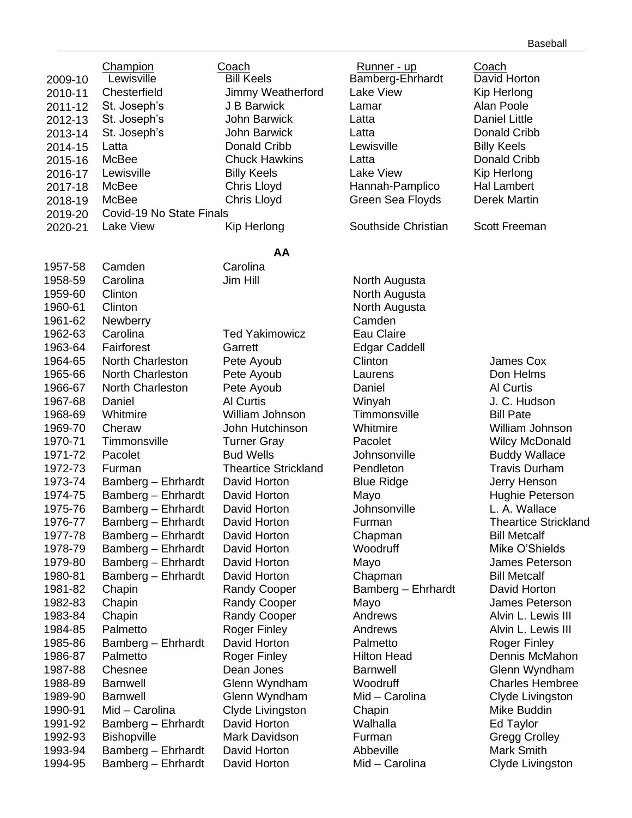|         | Champion                 | Coach                       | <u>Runner - up</u>              | Coach                       |
|---------|--------------------------|-----------------------------|---------------------------------|-----------------------------|
| 2009-10 | Lewisville               | <b>Bill Keels</b>           | Bamberg-Ehrhardt                | David Horton                |
| 2010-11 | Chesterfield             | Jimmy Weatherford           | <b>Lake View</b>                | Kip Herlong                 |
| 2011-12 | St. Joseph's             | J B Barwick                 | Lamar                           | Alan Poole                  |
| 2012-13 | St. Joseph's             | John Barwick                | Latta                           | <b>Daniel Little</b>        |
| 2013-14 | St. Joseph's             | John Barwick                | Latta                           | Donald Cribb                |
| 2014-15 | Latta                    | Donald Cribb                | Lewisville                      | <b>Billy Keels</b>          |
| 2015-16 | McBee                    | <b>Chuck Hawkins</b>        | Latta                           | Donald Cribb                |
| 2016-17 | Lewisville               | <b>Billy Keels</b>          | Lake View                       | Kip Herlong                 |
| 2017-18 | McBee                    | Chris Lloyd                 | Hannah-Pamplico                 | <b>Hal Lambert</b>          |
| 2018-19 | McBee                    | Chris Lloyd                 | Green Sea Floyds                | <b>Derek Martin</b>         |
| 2019-20 | Covid-19 No State Finals |                             |                                 |                             |
| 2020-21 | Lake View                | Kip Herlong                 | Southside Christian             | Scott Freeman               |
|         |                          | AA                          |                                 |                             |
| 1957-58 | Camden                   | Carolina                    |                                 |                             |
| 1958-59 | Carolina                 | Jim Hill                    | North Augusta                   |                             |
| 1959-60 | Clinton                  |                             | North Augusta                   |                             |
| 1960-61 | Clinton                  |                             | North Augusta                   |                             |
| 1961-62 | <b>Newberry</b>          |                             | Camden                          |                             |
| 1962-63 | Carolina                 | <b>Ted Yakimowicz</b>       | Eau Claire                      |                             |
|         | Fairforest               |                             |                                 |                             |
| 1963-64 | North Charleston         | Garrett                     | <b>Edgar Caddell</b><br>Clinton | James Cox                   |
| 1964-65 |                          | Pete Ayoub                  |                                 |                             |
| 1965-66 | North Charleston         | Pete Ayoub                  | Laurens                         | Don Helms                   |
| 1966-67 | North Charleston         | Pete Ayoub                  | Daniel                          | <b>Al Curtis</b>            |
| 1967-68 | Daniel                   | <b>Al Curtis</b>            | Winyah                          | J. C. Hudson                |
| 1968-69 | Whitmire                 | William Johnson             | Timmonsville                    | <b>Bill Pate</b>            |
| 1969-70 | Cheraw                   | John Hutchinson             | Whitmire                        | William Johnson             |
| 1970-71 | Timmonsville             | <b>Turner Gray</b>          | Pacolet                         | <b>Wilcy McDonald</b>       |
| 1971-72 | Pacolet                  | <b>Bud Wells</b>            | Johnsonville                    | <b>Buddy Wallace</b>        |
| 1972-73 | Furman                   | <b>Theartice Strickland</b> | Pendleton                       | <b>Travis Durham</b>        |
| 1973-74 | Bamberg - Ehrhardt       | David Horton                | <b>Blue Ridge</b>               | Jerry Henson                |
| 1974-75 | Bamberg - Ehrhardt       | David Horton                | Mayo                            | Hughie Peterson             |
| 1975-76 | Bamberg - Ehrhardt       | David Horton                | Johnsonville                    | L. A. Wallace               |
| 1976-77 | Bamberg - Ehrhardt       | David Horton                | Furman                          | <b>Theartice Strickland</b> |
| 1977-78 | Bamberg - Ehrhardt       | David Horton                | Chapman                         | <b>Bill Metcalf</b>         |
| 1978-79 | Bamberg - Ehrhardt       | David Horton                | Woodruff                        | Mike O'Shields              |
| 1979-80 | Bamberg - Ehrhardt       | David Horton                | Mayo                            | James Peterson              |
| 1980-81 | Bamberg - Ehrhardt       | David Horton                | Chapman                         | <b>Bill Metcalf</b>         |
| 1981-82 | Chapin                   | <b>Randy Cooper</b>         | Bamberg - Ehrhardt              | David Horton                |
| 1982-83 | Chapin                   | <b>Randy Cooper</b>         | Mayo                            | James Peterson              |
| 1983-84 | Chapin                   | <b>Randy Cooper</b>         | Andrews                         | Alvin L. Lewis III          |
| 1984-85 | Palmetto                 | <b>Roger Finley</b>         | Andrews                         | Alvin L. Lewis III          |
| 1985-86 | Bamberg - Ehrhardt       | David Horton                | Palmetto                        | <b>Roger Finley</b>         |
| 1986-87 | Palmetto                 | <b>Roger Finley</b>         | <b>Hilton Head</b>              | Dennis McMahon              |
| 1987-88 | Chesnee                  | Dean Jones                  | <b>Barnwell</b>                 | Glenn Wyndham               |
| 1988-89 | <b>Barnwell</b>          | Glenn Wyndham               | Woodruff                        | <b>Charles Hembree</b>      |
| 1989-90 | <b>Barnwell</b>          | Glenn Wyndham               | Mid - Carolina                  | Clyde Livingston            |
| 1990-91 | Mid - Carolina           | Clyde Livingston            | Chapin                          | Mike Buddin                 |
| 1991-92 | Bamberg - Ehrhardt       | David Horton                | Walhalla                        | Ed Taylor                   |
| 1992-93 | <b>Bishopville</b>       | Mark Davidson               | Furman                          | <b>Gregg Crolley</b>        |
| 1993-94 | Bamberg - Ehrhardt       | David Horton                | Abbeville                       | <b>Mark Smith</b>           |
| 1994-95 | Bamberg - Ehrhardt       | David Horton                | Mid - Carolina                  | Clyde Livingston            |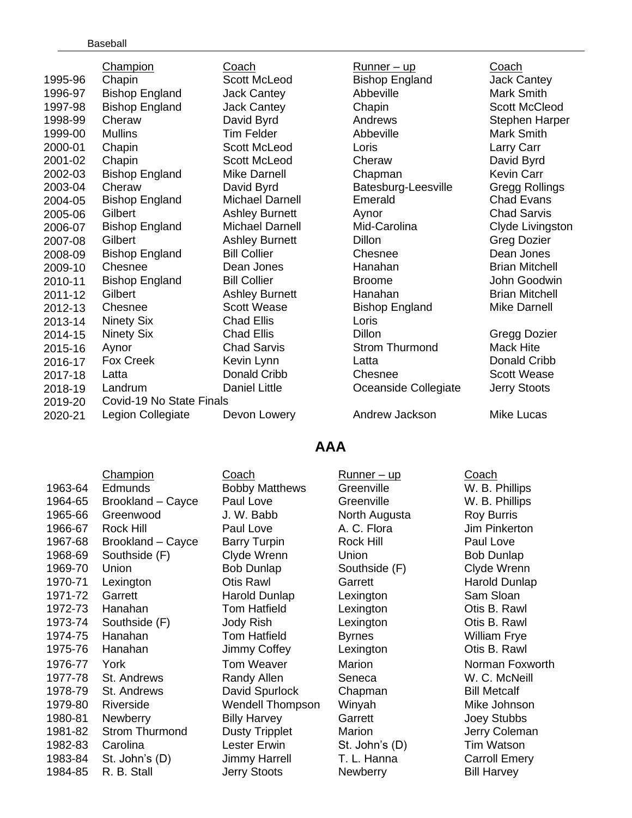|         | <b>Champion</b>          | Coach                  | <u>Runner – up</u>    | Coach                 |
|---------|--------------------------|------------------------|-----------------------|-----------------------|
| 1995-96 | Chapin                   | <b>Scott McLeod</b>    | <b>Bishop England</b> | <b>Jack Cantey</b>    |
| 1996-97 | <b>Bishop England</b>    | <b>Jack Cantey</b>     | Abbeville             | Mark Smith            |
| 1997-98 | <b>Bishop England</b>    | <b>Jack Cantey</b>     | Chapin                | Scott McCleod         |
| 1998-99 | Cheraw                   | David Byrd             | Andrews               | Stephen Harper        |
| 1999-00 | <b>Mullins</b>           | <b>Tim Felder</b>      | Abbeville             | Mark Smith            |
| 2000-01 | Chapin                   | Scott McLeod           | Loris                 | Larry Carr            |
| 2001-02 | Chapin                   | Scott McLeod           | Cheraw                | David Byrd            |
| 2002-03 | <b>Bishop England</b>    | <b>Mike Darnell</b>    | Chapman               | <b>Kevin Carr</b>     |
| 2003-04 | Cheraw                   | David Byrd             | Batesburg-Leesville   | Gregg Rollings        |
| 2004-05 | <b>Bishop England</b>    | <b>Michael Darnell</b> | Emerald               | <b>Chad Evans</b>     |
| 2005-06 | Gilbert                  | <b>Ashley Burnett</b>  | Aynor                 | <b>Chad Sarvis</b>    |
| 2006-07 | <b>Bishop England</b>    | Michael Darnell        | Mid-Carolina          | Clyde Livingston      |
| 2007-08 | Gilbert                  | <b>Ashley Burnett</b>  | <b>Dillon</b>         | <b>Greg Dozier</b>    |
| 2008-09 | <b>Bishop England</b>    | <b>Bill Collier</b>    | Chesnee               | Dean Jones            |
| 2009-10 | Chesnee                  | Dean Jones             | Hanahan               | <b>Brian Mitchell</b> |
| 2010-11 | <b>Bishop England</b>    | <b>Bill Collier</b>    | <b>Broome</b>         | John Goodwin          |
| 2011-12 | Gilbert                  | <b>Ashley Burnett</b>  | Hanahan               | <b>Brian Mitchell</b> |
| 2012-13 | Chesnee                  | <b>Scott Wease</b>     | <b>Bishop England</b> | Mike Darnell          |
| 2013-14 | <b>Ninety Six</b>        | <b>Chad Ellis</b>      | Loris                 |                       |
| 2014-15 | <b>Ninety Six</b>        | <b>Chad Ellis</b>      | <b>Dillon</b>         | Gregg Dozier          |
| 2015-16 | Aynor                    | <b>Chad Sarvis</b>     | <b>Strom Thurmond</b> | <b>Mack Hite</b>      |
| 2016-17 | Fox Creek                | Kevin Lynn             | Latta                 | Donald Cribb          |
| 2017-18 | Latta                    | Donald Cribb           | Chesnee               | <b>Scott Wease</b>    |
| 2018-19 | Landrum                  | Daniel Little          | Oceanside Collegiate  | Jerry Stoots          |
| 2019-20 | Covid-19 No State Finals |                        |                       |                       |
| 2020-21 | Legion Collegiate        | Devon Lowery           | Andrew Jackson        | Mike Lucas            |

# **AAA**

|         | Champion              | Coach                   | <u>Runner – up</u> | Coach                |
|---------|-----------------------|-------------------------|--------------------|----------------------|
| 1963-64 | <b>Edmunds</b>        | <b>Bobby Matthews</b>   | Greenville         | W. B. Phillips       |
| 1964-65 | Brookland - Cayce     | Paul Love               | Greenville         | W. B. Phillips       |
| 1965-66 | Greenwood             | J. W. Babb              | North Augusta      | <b>Roy Burris</b>    |
| 1966-67 | <b>Rock Hill</b>      | Paul Love               | A. C. Flora        | Jim Pinkerton        |
| 1967-68 | Brookland - Cayce     | <b>Barry Turpin</b>     | <b>Rock Hill</b>   | Paul Love            |
| 1968-69 | Southside (F)         | Clyde Wrenn             | Union              | <b>Bob Dunlap</b>    |
| 1969-70 | Union                 | <b>Bob Dunlap</b>       | Southside (F)      | Clyde Wrenn          |
| 1970-71 | Lexington             | <b>Otis Rawl</b>        | Garrett            | <b>Harold Dunlap</b> |
| 1971-72 | Garrett               | Harold Dunlap           | Lexington          | Sam Sloan            |
| 1972-73 | Hanahan               | <b>Tom Hatfield</b>     | Lexington          | Otis B. Rawl         |
| 1973-74 | Southside (F)         | Jody Rish               | Lexington          | Otis B. Rawl         |
| 1974-75 | Hanahan               | <b>Tom Hatfield</b>     | <b>Byrnes</b>      | <b>William Frye</b>  |
| 1975-76 | Hanahan               | Jimmy Coffey            | Lexington          | Otis B. Rawl         |
| 1976-77 | York                  | <b>Tom Weaver</b>       | Marion             | Norman Foxw          |
| 1977-78 | St. Andrews           | Randy Allen             | Seneca             | W. C. McNeill        |
| 1978-79 | St. Andrews           | David Spurlock          | Chapman            | <b>Bill Metcalf</b>  |
| 1979-80 | Riverside             | <b>Wendell Thompson</b> | Winyah             | Mike Johnson         |
| 1980-81 | <b>Newberry</b>       | <b>Billy Harvey</b>     | Garrett            | Joey Stubbs          |
| 1981-82 | <b>Strom Thurmond</b> | <b>Dusty Tripplet</b>   | Marion             | Jerry Colemar        |
| 1982-83 | Carolina              | <b>Lester Erwin</b>     | St. John's (D)     | Tim Watson           |
| 1983-84 | St. John's (D)        | <b>Jimmy Harrell</b>    | T. L. Hanna        | <b>Carroll Emery</b> |
| 1984-85 | R. B. Stall           | Jerry Stoots            | <b>Newberry</b>    | <b>Bill Harvey</b>   |
|         |                       |                         |                    |                      |

old Dunlap man Foxworth y Coleman roll Emery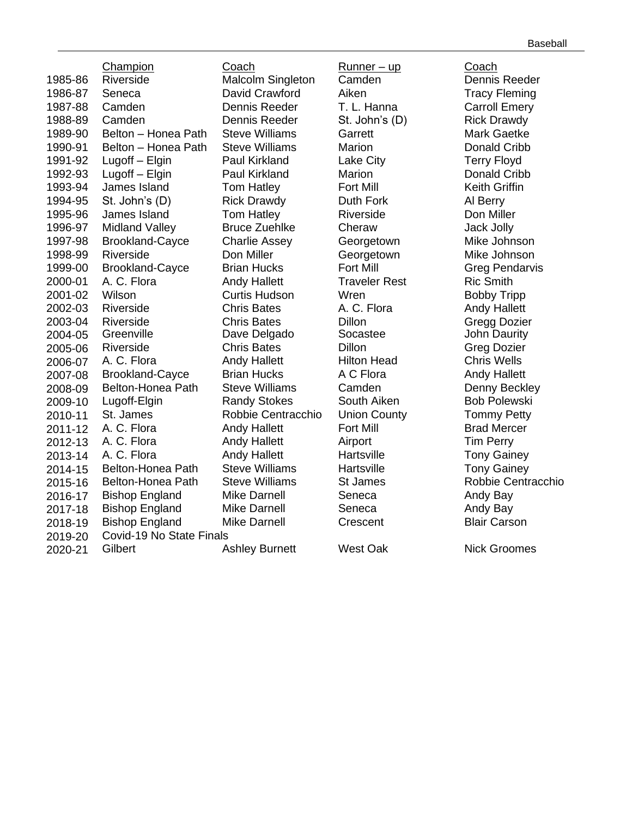|              | Baseball |
|--------------|----------|
| pach         |          |
| ennis Reeder |          |

Champion Coach Runner – up Coach 1985-86 Riverside Malcolm Singleton Camden 1986-87 Seneca David Crawford Aiken Tracy Fleming 1987-88 Camden Dennis Reeder T. L. Hanna Carroll Emery 1988-89 Camden Dennis Reeder St. John's (D) Rick Drawdy 1989-90 Belton – Honea Path Steve Williams Garrett Mark Gaetke 1990-91 Belton – Honea Path Steve Williams Marion Donald Cribb 1991-92 Lugoff – Elgin Paul Kirkland Lake City Terry Floyd 1992-93 Lugoff – Elgin Paul Kirkland Marion Donald Cribb 1993-94 James Island Tom Hatley Fort Mill Keith Griffin 1994-95 St. John's (D) Rick Drawdy Duth Fork Al Berry 1995-96 James Island Tom Hatley Riverside Don Miller 1996-97 Midland Valley Bruce Zuehlke Cheraw Jack Jolly 1997-98 Brookland-Cayce Charlie Assey Georgetown Mike Johnson 1998-99 Riverside Don Miller Georgetown Mike Johnson 1999-00 Brookland-Cayce Brian Hucks Fort Mill **Fourney Greg Pendarvis** 2000-01 A. C. Flora **Andy Hallett** Traveler Rest Ric Smith 2001-02 Wilson Curtis Hudson Wren Bobby Tripp 2002-03 Riverside Chris Bates A. C. Flora Andy Hallett 2003-04 Riverside Chris Bates Dillon Gregg Dozier 2004-05 Greenville Dave Delgado Socastee John Daurity 2005-06 Riverside Chris Bates Dillon Greg Dozier 2006-07 A. C. Flora Andy Hallett Hilton Head Chris Wells 2007-08 Brookland-Cayce Brian Hucks A C Flora Andy Hallett 2008-09 Belton-Honea Path Steve Williams Camden Cambion Denny Beckley 2009-10 Lugoff-Elgin Randy Stokes South Aiken Bob Polewski<br>2010-11 St. James Robbie Centracchio Union County Tommy Petty 2010-11 St. James Robbie Centracchio 2011-12 A. C. Flora **Andy Hallett Fort Mill** Brad Mercer 2012-13 A. C. Flora Andy Hallett Airport Tim Perry<br>2013-14 A. C. Flora Andy Hallett Hartsville Tony Gain 2013-14 A. C. Flora Andy Hallett Hartsville Tony Gainey 2014-15 Belton-Honea Path Steve Williams Hartsville Tony Gainey 2015-16 Belton-Honea Path Steve Williams St James Robbie Centracchio<br>2016-17 Bishop England Mike Darnell Seneca Seneca Andy Bay 2016-17 Bishop England 2017-18 Bishop England Mike Darnell Seneca Andy Bay 2018-19 Bishop England Mike Darnell Crescent Blair Carson 2019-20 Covid-19 No State Finals 2020-21 Gilbert Ashley Burnett West Oak Nick Groomes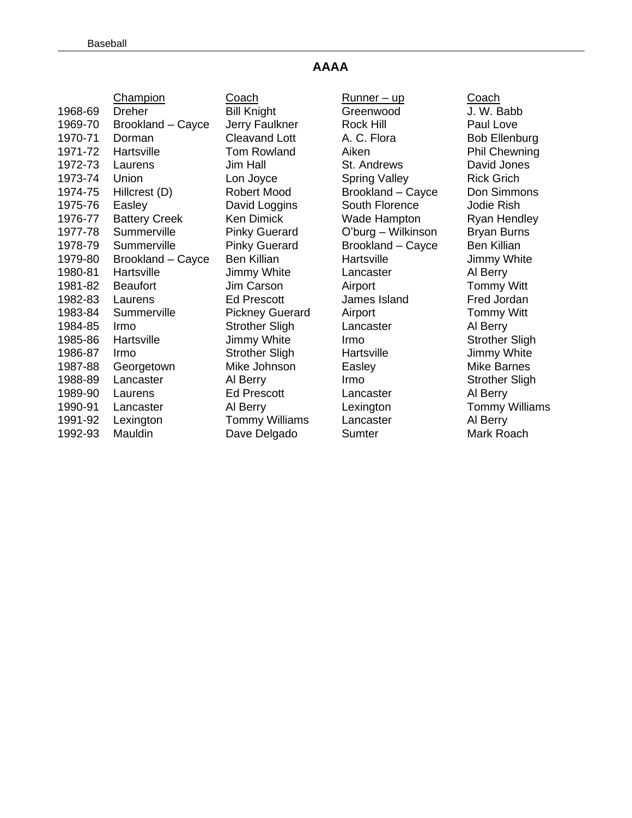#### **AAAA**

|         | <b>Champion</b>      | Coach                  | <u> Runner – up</u>  | Coach                |
|---------|----------------------|------------------------|----------------------|----------------------|
| 1968-69 | <b>Dreher</b>        | <b>Bill Knight</b>     | Greenwood            | J. W. Babb           |
| 1969-70 | Brookland - Cayce    | Jerry Faulkner         | Rock Hill            | Paul Love            |
| 1970-71 | Dorman               | <b>Cleavand Lott</b>   | A. C. Flora          | <b>Bob Ellenbu</b>   |
| 1971-72 | Hartsville           | <b>Tom Rowland</b>     | Aiken                | Phil Chewni          |
| 1972-73 | Laurens              | Jim Hall               | St. Andrews          | David Jones          |
| 1973-74 | Union                | Lon Joyce              | <b>Spring Valley</b> | Rick Grich           |
| 1974-75 | Hillcrest (D)        | <b>Robert Mood</b>     | Brookland - Cayce    | Don Simmor           |
| 1975-76 | Easley               | David Loggins          | South Florence       | Jodie Rish           |
| 1976-77 | <b>Battery Creek</b> | <b>Ken Dimick</b>      | Wade Hampton         | Ryan Hendle          |
| 1977-78 | Summerville          | <b>Pinky Guerard</b>   | O'burg - Wilkinson   | <b>Bryan Burns</b>   |
| 1978-79 | Summerville          | <b>Pinky Guerard</b>   | Brookland - Cayce    | Ben Killian          |
| 1979-80 | Brookland - Cayce    | <b>Ben Killian</b>     | Hartsville           | Jimmy White          |
| 1980-81 | Hartsville           | Jimmy White            | Lancaster            | Al Berry             |
| 1981-82 | <b>Beaufort</b>      | Jim Carson             | Airport              | <b>Tommy Witt</b>    |
| 1982-83 | Laurens              | <b>Ed Prescott</b>     | James Island         | Fred Jordan          |
| 1983-84 | Summerville          | <b>Pickney Guerard</b> | Airport              | <b>Tommy Witt</b>    |
| 1984-85 | Irmo                 | <b>Strother Sligh</b>  | Lancaster            | Al Berry             |
| 1985-86 | Hartsville           | Jimmy White            | Irmo                 | <b>Strother Slig</b> |
| 1986-87 | Irmo                 | <b>Strother Sligh</b>  | Hartsville           | Jimmy White          |
| 1987-88 | Georgetown           | Mike Johnson           | Easley               | <b>Mike Barnes</b>   |
| 1988-89 | Lancaster            | Al Berry               | Irmo                 | <b>Strother Slig</b> |
| 1989-90 | Laurens              | <b>Ed Prescott</b>     | Lancaster            | Al Berry             |
| 1990-91 | Lancaster            | Al Berry               | Lexington            | <b>Tommy Willi</b>   |
| 1991-92 | Lexington            | <b>Tommy Williams</b>  | Lancaster            | Al Berry             |
| 1992-93 | Mauldin              | Dave Delgado           | Sumter               | Mark Roach           |
|         |                      |                        |                      |                      |

Runner – up Coach 15 11 **1968** Oreenwood Greenwood J. W. Babb 1 Lott A. C. Flora Bob Ellenburg vland Aiken **Phil Chewning** St. Andrews David Jones 1973-1974 Execution Spring Valley Contracts Rick Grich lood Brookland – Cayce Don Simmons ggins South Florence Jodie Rish ick **1976-77 Battery Creek Wade Hampton** Ryan Hendley 1979-1977-1977-1978 Summerard C'burg – Wilkinson Bryan Burns erard Brookland – Cayce Ben Killian n Fartsville – Cayce Bimmy White hite Lancaster Al Berry on Airport Tommy Witt 1982-83 Laurens Island Fred Jordan 1983-9 Suerard Airport Commy Witt hite Irmo Irmo Strother Sligh Sligh Hartsville Jimmy White nson Easley Mike Barnes **1988** Lancaster Strother Sligh 1989 Lancaster Al Berry Lexington Tommy Williams Villiams Lancaster **Al Berry**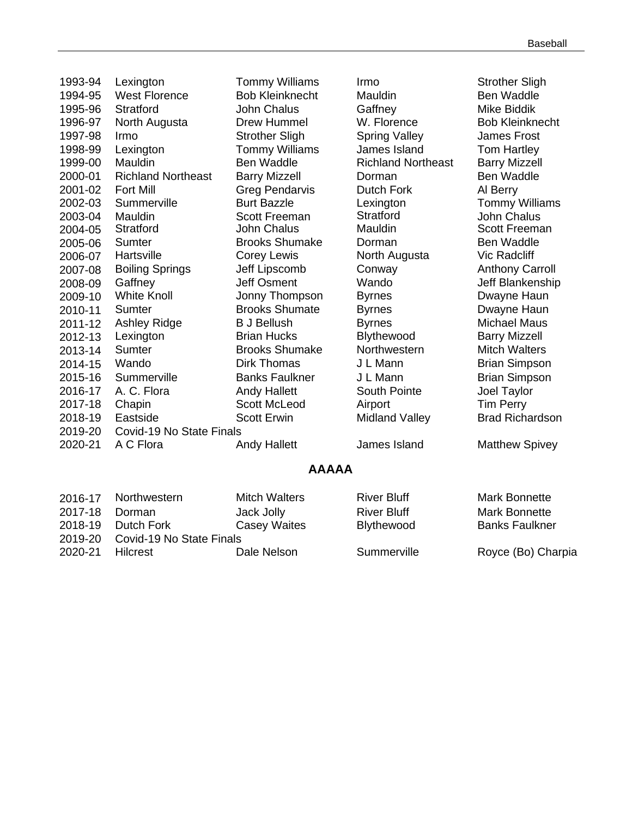| 1993-94 | Lexington                 | <b>Tommy Williams</b>  | Irmo                      | <b>Strother Sligh</b>  |
|---------|---------------------------|------------------------|---------------------------|------------------------|
| 1994-95 | <b>West Florence</b>      | <b>Bob Kleinknecht</b> | Mauldin                   | <b>Ben Waddle</b>      |
| 1995-96 | <b>Stratford</b>          | John Chalus            | Gaffney                   | <b>Mike Biddik</b>     |
| 1996-97 | North Augusta             | <b>Drew Hummel</b>     | W. Florence               | <b>Bob Kleinknecht</b> |
| 1997-98 | Irmo                      | <b>Strother Sligh</b>  | <b>Spring Valley</b>      | <b>James Frost</b>     |
| 1998-99 | Lexington                 | <b>Tommy Williams</b>  | James Island              | <b>Tom Hartley</b>     |
| 1999-00 | Mauldin                   | <b>Ben Waddle</b>      | <b>Richland Northeast</b> | <b>Barry Mizzell</b>   |
| 2000-01 | <b>Richland Northeast</b> | <b>Barry Mizzell</b>   | Dorman                    | <b>Ben Waddle</b>      |
| 2001-02 | <b>Fort Mill</b>          | <b>Greg Pendarvis</b>  | Dutch Fork                | Al Berry               |
| 2002-03 | Summerville               | <b>Burt Bazzle</b>     | Lexington                 | <b>Tommy Williams</b>  |
| 2003-04 | Mauldin                   | <b>Scott Freeman</b>   | <b>Stratford</b>          | John Chalus            |
| 2004-05 | Stratford                 | <b>John Chalus</b>     | Mauldin                   | <b>Scott Freeman</b>   |
| 2005-06 | Sumter                    | <b>Brooks Shumake</b>  | Dorman                    | Ben Waddle             |
| 2006-07 | Hartsville                | Corey Lewis            | North Augusta             | <b>Vic Radcliff</b>    |
| 2007-08 | <b>Boiling Springs</b>    | Jeff Lipscomb          | Conway                    | <b>Anthony Carroll</b> |
| 2008-09 | Gaffney                   | <b>Jeff Osment</b>     | Wando                     | Jeff Blankenship       |
| 2009-10 | <b>White Knoll</b>        | Jonny Thompson         | <b>Byrnes</b>             | Dwayne Haun            |
| 2010-11 | Sumter                    | <b>Brooks Shumate</b>  | <b>Byrnes</b>             | Dwayne Haun            |
| 2011-12 | <b>Ashley Ridge</b>       | <b>B J Bellush</b>     | <b>Byrnes</b>             | <b>Michael Maus</b>    |
| 2012-13 | Lexington                 | <b>Brian Hucks</b>     | Blythewood                | <b>Barry Mizzell</b>   |
| 2013-14 | <b>Sumter</b>             | <b>Brooks Shumake</b>  | Northwestern              | <b>Mitch Walters</b>   |
| 2014-15 | Wando                     | <b>Dirk Thomas</b>     | J L Mann                  | <b>Brian Simpson</b>   |
| 2015-16 | Summerville               | <b>Banks Faulkner</b>  | J L Mann                  | <b>Brian Simpson</b>   |
| 2016-17 | A. C. Flora               | <b>Andy Hallett</b>    | South Pointe              | Joel Taylor            |
| 2017-18 | Chapin                    | <b>Scott McLeod</b>    | Airport                   | <b>Tim Perry</b>       |
| 2018-19 | Eastside                  | <b>Scott Erwin</b>     | <b>Midland Valley</b>     | <b>Brad Richardson</b> |
| 2019-20 | Covid-19 No State Finals  |                        |                           |                        |
| 2020-21 | A C Flora                 | <b>Andy Hallett</b>    | James Island              | <b>Matthew Spivey</b>  |
|         |                           |                        |                           |                        |

## **AAAAA**

|         | 2016-17 Northwestern             | <b>Mitch Walters</b> | <b>River Bluff</b> | <b>Mark Bonnette</b>  |
|---------|----------------------------------|----------------------|--------------------|-----------------------|
| 2017-18 | Dorman                           | Jack Jolly           | <b>River Bluff</b> | Mark Bonnette         |
|         |                                  |                      |                    |                       |
| 2018-19 | Dutch Fork                       | <b>Casey Waites</b>  | Blythewood         | <b>Banks Faulkner</b> |
|         | 2019-20 Covid-19 No State Finals |                      |                    |                       |
| 2020-21 | Hilcrest                         | Dale Nelson          | Summerville        | Royce (Bo) Charpia    |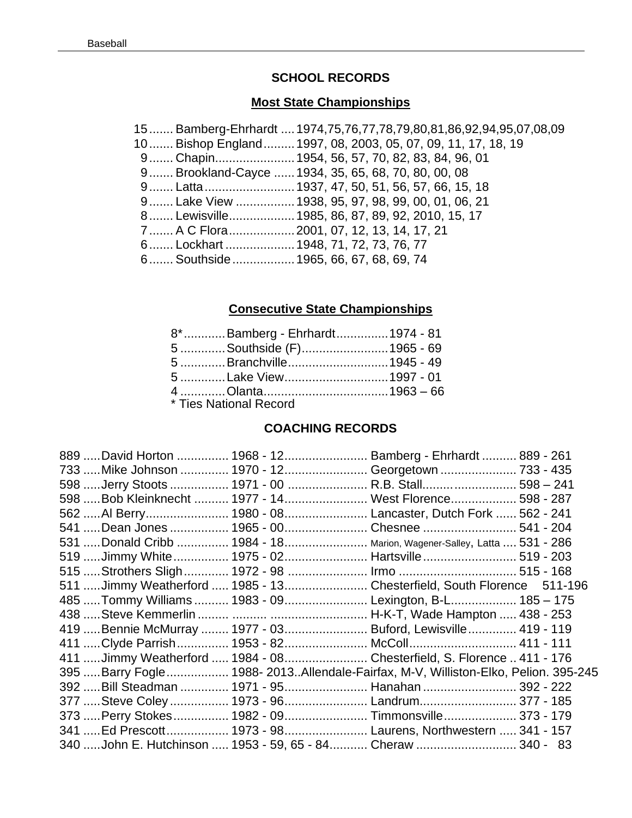## **SCHOOL RECORDS**

## **Most State Championships**

| 15Bamberg-Ehrhardt  1974,75,76,77,78,79,80,81,86,92,94,95,07,08,09 |
|--------------------------------------------------------------------|
| 10 Bishop England 1997, 08, 2003, 05, 07, 09, 11, 17, 18, 19       |
| 9 Chapin 1954, 56, 57, 70, 82, 83, 84, 96, 01                      |
| 9 Brookland-Cayce  1934, 35, 65, 68, 70, 80, 00, 08                |
|                                                                    |
| 9 Lake View  1938, 95, 97, 98, 99, 00, 01, 06, 21                  |
| 8 Lewisville 1985, 86, 87, 89, 92, 2010, 15, 17                    |
| 7  A C Flora  2001, 07, 12, 13, 14, 17, 21                         |
| 6 Lockhart  1948, 71, 72, 73, 76, 77                               |
| 6 Southside  1965, 66, 67, 68, 69, 74                              |

# **Consecutive State Championships**

| 8* Bamberg - Ehrhardt 1974 - 81 |  |
|---------------------------------|--|
|                                 |  |
| 5 Branchville1945 - 49          |  |
|                                 |  |
|                                 |  |
| * Ties National Record          |  |

# **COACHING RECORDS**

|  | 889 David Horton  1968 - 12 Bamberg - Ehrhardt  889 - 261                           |  |
|--|-------------------------------------------------------------------------------------|--|
|  | 733  Mike Johnson  1970 - 12  Georgetown  733 - 435                                 |  |
|  | 598  Jerry Stoots  1971 - 00  R.B. Stall 598 - 241                                  |  |
|  | 598  Bob Kleinknecht  1977 - 14  West Florence 598 - 287                            |  |
|  | 562  Al Berry 1980 - 08  Lancaster, Dutch Fork  562 - 241                           |  |
|  | 541  Dean Jones  1965 - 00 Chesnee  541 - 204                                       |  |
|  | 531  Donald Cribb  1984 - 18 Marion, Wagener-Salley, Latta  531 - 286               |  |
|  | 519 Jimmy White  1975 - 02  Hartsville  519 - 203                                   |  |
|  | 515  Strothers Sligh  1972 - 98  Irmo  515 - 168                                    |  |
|  | 511 Jimmy Weatherford  1985 - 13  Chesterfield, South Florence 511-196              |  |
|  | 485  Tommy Williams  1983 - 09  Lexington, B-L 185 - 175                            |  |
|  |                                                                                     |  |
|  | 419  Bennie McMurray  1977 - 03  Buford, Lewisville  419 - 119                      |  |
|  | 411  Clyde Parrish  1953 - 82  McColl  411 - 111                                    |  |
|  | 411 Jimmy Weatherford  1984 - 08  Chesterfield, S. Florence  411 - 176              |  |
|  | 395  Barry Fogle  1988- 2013Allendale-Fairfax, M-V, Williston-Elko, Pelion. 395-245 |  |
|  | 392 Bill Steadman  1971 - 95 Hanahan  392 - 222                                     |  |
|  | 377  Steve Coley  1973 - 96  Landrum 377 - 185                                      |  |
|  | 373  Perry Stokes  1982 - 09  Timmonsville  373 - 179                               |  |
|  | 341  Ed Prescott 1973 - 98 Laurens, Northwestern  341 - 157                         |  |
|  | 340  John E. Hutchinson  1953 - 59, 65 - 84  Cheraw  340 - 83                       |  |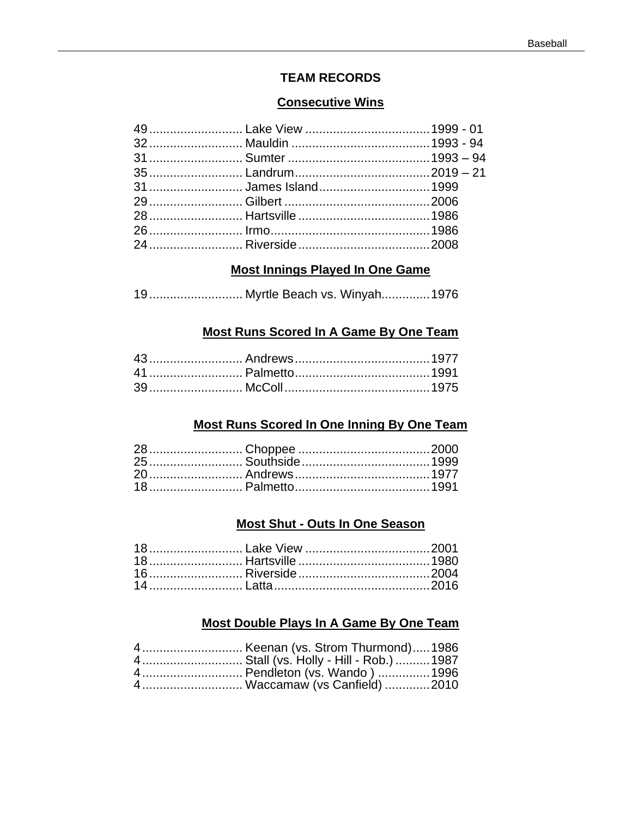#### **TEAM RECORDS**

#### **Consecutive Wins**

## **Most Innings Played In One Game**

| 19 Myrtle Beach vs. Winyah 1976 |  |  |  |  |
|---------------------------------|--|--|--|--|
|---------------------------------|--|--|--|--|

## Most Runs Scored In A Game By One Team

## **Most Runs Scored In One Inning By One Team**

## **Most Shut - Outs In One Season**

## Most Double Plays In A Game By One Team

| 4 Stall (vs. Holly - Hill - Rob.)  1987 |  |
|-----------------------------------------|--|
|                                         |  |
| 4 Waccamaw (vs Canfield) 2010           |  |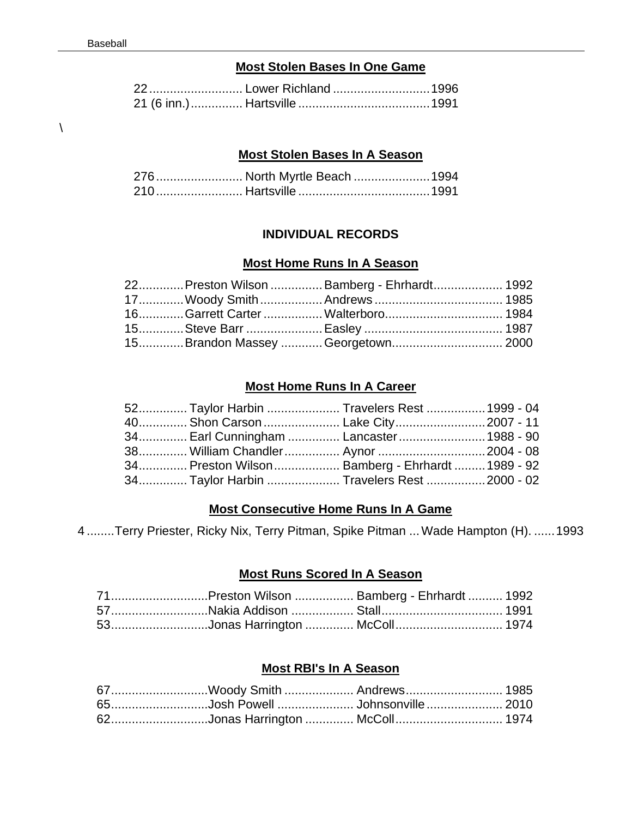#### **Most Stolen Bases In One Game**

| 22 Lower Richland 1996 |  |
|------------------------|--|
|                        |  |

 $\lambda$ 

#### **Most Stolen Bases In A Season**

|  | 276 North Myrtle Beach 1994 |  |
|--|-----------------------------|--|
|  |                             |  |

### **INDIVIDUAL RECORDS**

#### **Most Home Runs In A Season**

|  | 22 Preston Wilson  Bamberg - Ehrhardt 1992 |  |
|--|--------------------------------------------|--|
|  |                                            |  |
|  |                                            |  |
|  |                                            |  |
|  | 15Brandon Massey Georgetown 2000           |  |

#### **Most Home Runs In A Career**

| 52 Taylor Harbin  Travelers Rest  1999 - 04    |  |  |
|------------------------------------------------|--|--|
| 40 Shon Carson  Lake City 2007 - 11            |  |  |
| 34 Earl Cunningham  Lancaster  1988 - 90       |  |  |
| 38 William Chandler Aynor  2004 - 08           |  |  |
| 34 Preston Wilson Bamberg - Ehrhardt 1989 - 92 |  |  |
| 34 Taylor Harbin  Travelers Rest  2000 - 02    |  |  |

## **Most Consecutive Home Runs In A Game**

4 ........Terry Priester, Ricky Nix, Terry Pitman, Spike Pitman ...Wade Hampton (H). ......1993

#### **Most Runs Scored In A Season**

| 71Preston Wilson  Bamberg - Ehrhardt  1992 |  |
|--------------------------------------------|--|
|                                            |  |
| 53Jonas Harrington  McColl 1974            |  |

## **Most RBI's In A Season**

|  | 67Woody Smith  Andrews 1985       |  |
|--|-----------------------------------|--|
|  | 65Josh Powell  Johnsonville  2010 |  |
|  | 62Jonas Harrington  McColl 1974   |  |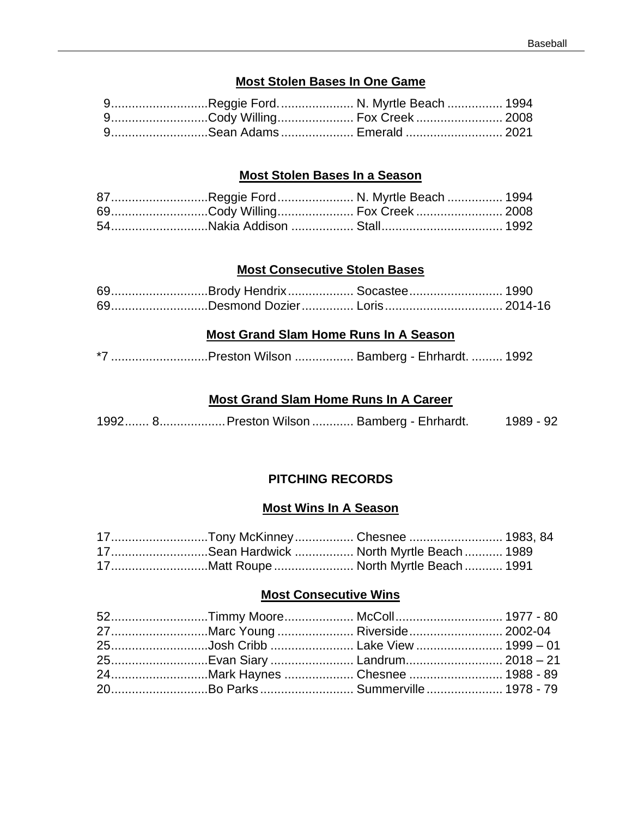## **Most Stolen Bases In One Game**

| 9Reggie Ford N. Myrtle Beach  1994 |  |
|------------------------------------|--|
| 9Cody Willing Fox Creek 2008       |  |
| 9Sean Adams  Emerald  2021         |  |

#### **Most Stolen Bases In a Season**

| 87Reggie Ford N. Myrtle Beach  1994 |  |
|-------------------------------------|--|
| 69Cody Willing Fox Creek 2008       |  |
|                                     |  |

#### **Most Consecutive Stolen Bases**

|  | 69Brody Hendrix Socastee 1990  |  |
|--|--------------------------------|--|
|  | 69Desmond Dozier Loris 2014-16 |  |

#### **Most Grand Slam Home Runs In A Season**

| *7 Preston Wilson  Bamberg - Ehrhardt.  1992 |
|----------------------------------------------|
|                                              |

## **Most Grand Slam Home Runs In A Career**

1992....... 8...................Preston Wilson ............ Bamberg - Ehrhardt. 1989 - 92

## **PITCHING RECORDS**

#### **Most Wins In A Season**

|  | 17Tony McKinney Chesnee  1983, 84         |  |
|--|-------------------------------------------|--|
|  | 17Sean Hardwick  North Myrtle Beach  1989 |  |
|  | 17Matt Roupe  North Myrtle Beach  1991    |  |

#### **Most Consecutive Wins**

| 52Timmy Moore McColl 1977 - 80     |  |
|------------------------------------|--|
| 27Marc Young Riverside 2002-04     |  |
| 25Josh Cribb  Lake View  1999 - 01 |  |
| 25Evan Siary  Landrum 2018 - 21    |  |
| 24Mark Haynes  Chesnee  1988 - 89  |  |
| 20Bo Parks Summerville 1978 - 79   |  |